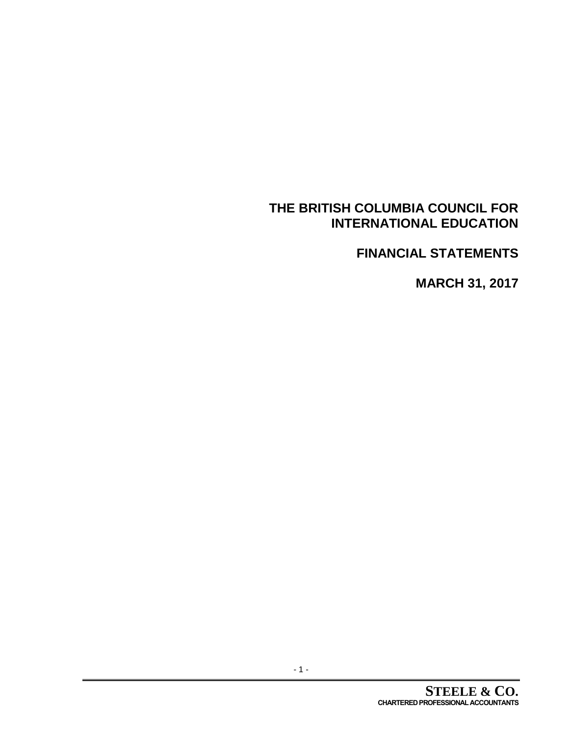# **FINANCIAL STATEMENTS**

**MARCH 31, 2017**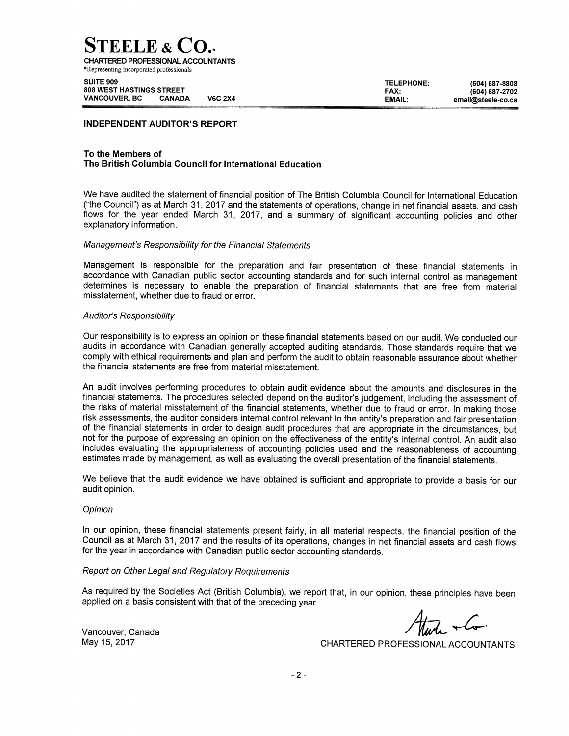**TEELE & CO.** 

**CHARTERED PROFESSIONAL ACCOUNTANTS** \*Representing incorporated professionals

SUITE 909 **808 WEST HASTINGS STREET VANCOUVER, BC CANADA V6C 2X4** 

**TELEPHONE:** (604) 687-8808 FAX: (604) 687-2702 EMAIL: email@steele-co.ca

#### **INDEPENDENT AUDITOR'S REPORT**

#### To the Members of The British Columbia Council for International Education

We have audited the statement of financial position of The British Columbia Council for International Education ("the Council") as at March 31, 2017 and the statements of operations, change in net financial assets, and cash flows for the year ended March 31, 2017, and a summary of significant accounting policies and other explanatory information.

#### Management's Responsibility for the Financial Statements

Management is responsible for the preparation and fair presentation of these financial statements in accordance with Canadian public sector accounting standards and for such internal control as management determines is necessary to enable the preparation of financial statements that are free from material misstatement, whether due to fraud or error.

#### Auditor's Responsibility

Our responsibility is to express an opinion on these financial statements based on our audit. We conducted our audits in accordance with Canadian generally accepted auditing standards. Those standards require that we comply with ethical requirements and plan and perform the audit to obtain reasonable assurance about whether the financial statements are free from material misstatement.

An audit involves performing procedures to obtain audit evidence about the amounts and disclosures in the financial statements. The procedures selected depend on the auditor's judgement, including the assessment of the risks of material misstatement of the financial statements, whether due to fraud or error. In making those risk assessments, the auditor considers internal control relevant to the entity's preparation and fair presentation of the financial statements in order to design audit procedures that are appropriate in the circumstances, but not for the purpose of expressing an opinion on the effectiveness of the entity's internal control. An audit also includes evaluating the appropriateness of accounting policies used and the reasonableness of accounting estimates made by management, as well as evaluating the overall presentation of the financial statements.

We believe that the audit evidence we have obtained is sufficient and appropriate to provide a basis for our audit opinion.

#### Opinion

In our opinion, these financial statements present fairly, in all material respects, the financial position of the Council as at March 31, 2017 and the results of its operations, changes in net financial assets and cash flows for the year in accordance with Canadian public sector accounting standards.

#### Report on Other Legal and Regulatory Requirements

As required by the Societies Act (British Columbia), we report that, in our opinion, these principles have been applied on a basis consistent with that of the preceding year.

 $\frac{1}{\sqrt{1-\frac{1}{1-\frac{1}{1-\frac{1}{1-\frac{1}{1-\frac{1}{1-\frac{1}{1-\frac{1}{1-\frac{1}{1-\frac{1}{1-\frac{1}{1-\frac{1}{1-\frac{1}{1-\frac{1}{1-\frac{1}{1-\frac{1}{1-\frac{1}{1-\frac{1}{1-\frac{1}{1-\frac{1}{1-\frac{1}{1-\frac{1}{1-\frac{1}{1-\frac{1}{1-\frac{1}{1-\frac{1}{1-\frac{1}{1-\frac{1}{1-\frac{1}{1-\frac{1}{1-\frac{1}{1-\frac{1}{1-\frac{1}{1-\frac{1}{1-\frac{1}{1-\frac{1}{1-\$ 

Vancouver, Canada May 15, 2017

CHARTERED PROFESSIONAL ACCOUNTANTS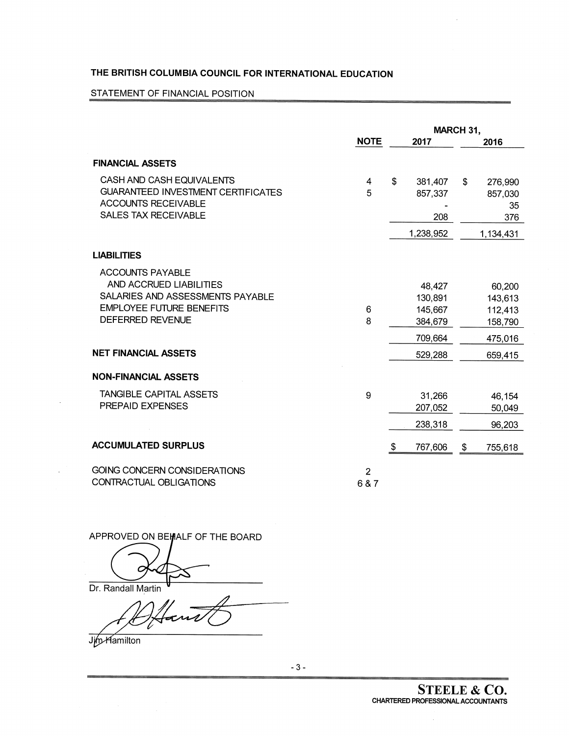## STATEMENT OF FINANCIAL POSITION

|                                                                                                                                                                                     |                         | MARCH 31, |                                                               |    |                                                               |  |
|-------------------------------------------------------------------------------------------------------------------------------------------------------------------------------------|-------------------------|-----------|---------------------------------------------------------------|----|---------------------------------------------------------------|--|
|                                                                                                                                                                                     | <b>NOTE</b>             |           | 2017                                                          |    | 2016                                                          |  |
| <b>FINANCIAL ASSETS</b>                                                                                                                                                             |                         |           |                                                               |    |                                                               |  |
| CASH AND CASH EQUIVALENTS<br><b>GUARANTEED INVESTMENT CERTIFICATES</b><br><b>ACCOUNTS RECEIVABLE</b><br><b>SALES TAX RECEIVABLE</b>                                                 | 4<br>5                  | \$        | 381,407<br>857,337<br>208                                     | \$ | 276,990<br>857,030<br>35<br>376                               |  |
|                                                                                                                                                                                     |                         |           | 1,238,952                                                     |    | 1,134,431                                                     |  |
| <b>LIABILITIES</b>                                                                                                                                                                  |                         |           |                                                               |    |                                                               |  |
| <b>ACCOUNTS PAYABLE</b><br>AND ACCRUED LIABILITIES<br>SALARIES AND ASSESSMENTS PAYABLE<br><b>EMPLOYEE FUTURE BENEFITS</b><br><b>DEFERRED REVENUE</b><br><b>NET FINANCIAL ASSETS</b> | 6<br>8                  |           | 48,427<br>130,891<br>145,667<br>384,679<br>709,664<br>529,288 |    | 60,200<br>143,613<br>112,413<br>158,790<br>475,016<br>659,415 |  |
|                                                                                                                                                                                     |                         |           |                                                               |    |                                                               |  |
| <b>NON-FINANCIAL ASSETS</b><br>TANGIBLE CAPITAL ASSETS<br>PREPAID EXPENSES                                                                                                          | 9                       |           | 31,266<br>207,052<br>238,318                                  |    | 46,154<br>50,049<br>96,203                                    |  |
| <b>ACCUMULATED SURPLUS</b>                                                                                                                                                          |                         | \$        | 767,606                                                       | \$ | 755,618                                                       |  |
| <b>GOING CONCERN CONSIDERATIONS</b><br>CONTRACTUAL OBLIGATIONS                                                                                                                      | $\overline{2}$<br>6 & 7 |           |                                                               |    |                                                               |  |

APPROVED ON BEHALF OF THE BOARD

C

Dr. Randall Martin

Hans V

**Jim Hamilton**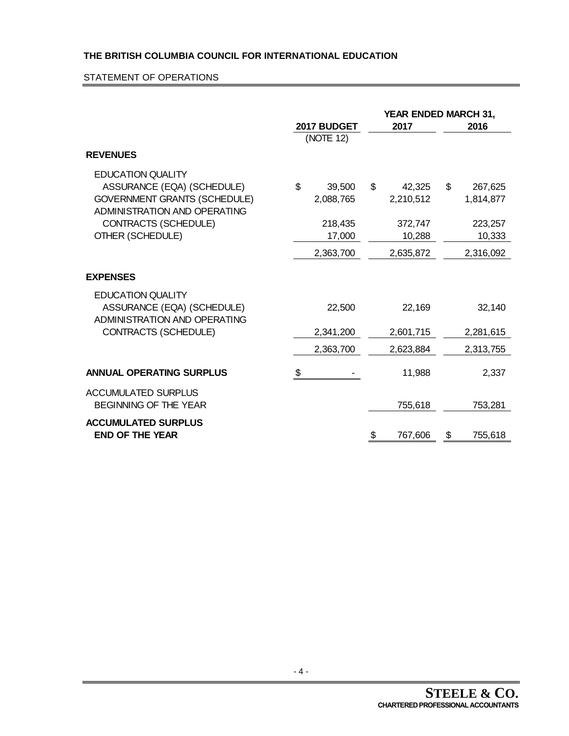## STATEMENT OF OPERATIONS

|                                                                                                                               | 2017 BUDGET<br>(NOTE 12)  | 2017                      | <b>YEAR ENDED MARCH 31,</b><br>2016 |
|-------------------------------------------------------------------------------------------------------------------------------|---------------------------|---------------------------|-------------------------------------|
| <b>REVENUES</b>                                                                                                               |                           |                           |                                     |
| <b>EDUCATION QUALITY</b><br>ASSURANCE (EQA) (SCHEDULE)<br><b>GOVERNMENT GRANTS (SCHEDULE)</b><br>ADMINISTRATION AND OPERATING | \$<br>39,500<br>2,088,765 | \$<br>42,325<br>2,210,512 | \$<br>267,625<br>1,814,877          |
| CONTRACTS (SCHEDULE)                                                                                                          | 218,435                   | 372,747                   | 223,257                             |
| OTHER (SCHEDULE)                                                                                                              | 17,000                    | 10,288                    | 10,333                              |
|                                                                                                                               | 2,363,700                 | 2,635,872                 | 2,316,092                           |
| <b>EXPENSES</b>                                                                                                               |                           |                           |                                     |
| <b>EDUCATION QUALITY</b><br>ASSURANCE (EQA) (SCHEDULE)<br><b>ADMINISTRATION AND OPERATING</b>                                 | 22,500                    | 22,169                    | 32,140                              |
| CONTRACTS (SCHEDULE)                                                                                                          | 2,341,200                 | 2,601,715                 | 2,281,615                           |
|                                                                                                                               | 2,363,700                 | 2,623,884                 | 2,313,755                           |
| <b>ANNUAL OPERATING SURPLUS</b>                                                                                               | \$                        | 11,988                    | 2,337                               |
| <b>ACCUMULATED SURPLUS</b><br><b>BEGINNING OF THE YEAR</b>                                                                    |                           | 755,618                   | 753,281                             |
| <b>ACCUMULATED SURPLUS</b><br><b>END OF THE YEAR</b>                                                                          |                           | \$<br>767,606             | 755,618<br>\$                       |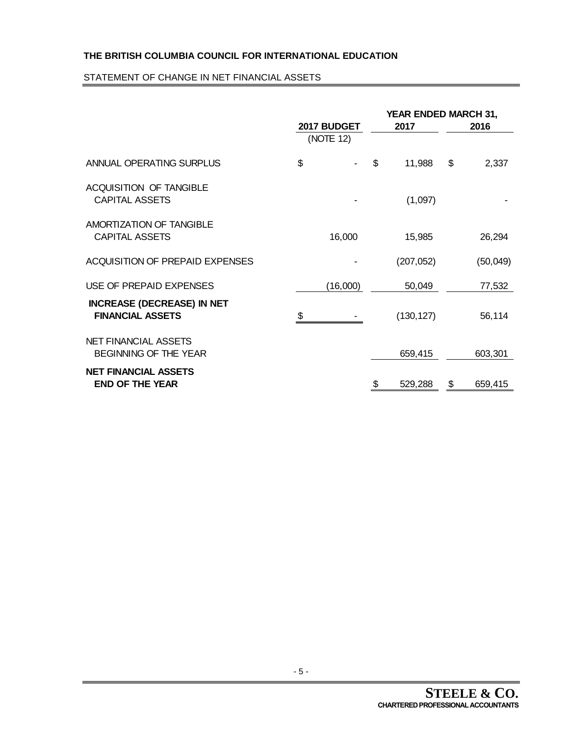## STATEMENT OF CHANGE IN NET FINANCIAL ASSETS

|                                                              | 2017 BUDGET<br>(NOTE 12) | YEAR ENDED MARCH 31,<br>2017 |            |    | 2016      |
|--------------------------------------------------------------|--------------------------|------------------------------|------------|----|-----------|
| ANNUAL OPERATING SURPLUS                                     | \$                       | \$                           | 11,988     | \$ | 2,337     |
| <b>ACQUISITION OF TANGIBLE</b><br><b>CAPITAL ASSETS</b>      |                          |                              | (1,097)    |    |           |
| <b>AMORTIZATION OF TANGIBLE</b><br><b>CAPITAL ASSETS</b>     | 16,000                   |                              | 15,985     |    | 26,294    |
| <b>ACQUISITION OF PREPAID EXPENSES</b>                       |                          |                              | (207, 052) |    | (50, 049) |
| USE OF PREPAID EXPENSES                                      | (16,000)                 |                              | 50,049     |    | 77,532    |
| <b>INCREASE (DECREASE) IN NET</b><br><b>FINANCIAL ASSETS</b> | \$                       |                              | (130, 127) |    | 56,114    |
| <b>NET FINANCIAL ASSETS</b><br><b>BEGINNING OF THE YEAR</b>  |                          |                              | 659,415    |    | 603,301   |
| <b>NET FINANCIAL ASSETS</b><br><b>END OF THE YEAR</b>        |                          | \$                           | 529,288    | \$ | 659,415   |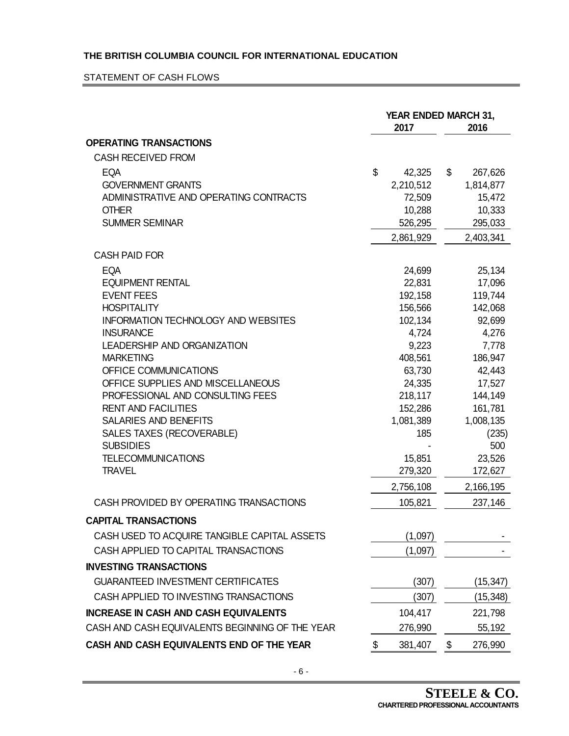## STATEMENT OF CASH FLOWS

|                                                                |    | YEAR ENDED MARCH 31,<br>2016 |    |                      |
|----------------------------------------------------------------|----|------------------------------|----|----------------------|
| <b>OPERATING TRANSACTIONS</b>                                  |    |                              |    |                      |
| <b>CASH RECEIVED FROM</b>                                      |    |                              |    |                      |
| <b>EQA</b>                                                     | \$ | 42,325                       | \$ | 267,626              |
| <b>GOVERNMENT GRANTS</b>                                       |    | 2,210,512                    |    | 1,814,877            |
| ADMINISTRATIVE AND OPERATING CONTRACTS                         |    | 72,509                       |    | 15,472               |
| <b>OTHER</b>                                                   |    | 10,288                       |    | 10,333               |
| <b>SUMMER SEMINAR</b>                                          |    | 526,295                      |    | 295,033              |
|                                                                |    | 2,861,929                    |    | 2,403,341            |
| <b>CASH PAID FOR</b>                                           |    |                              |    |                      |
| <b>EQA</b>                                                     |    | 24,699                       |    | 25,134               |
| <b>EQUIPMENT RENTAL</b>                                        |    | 22,831                       |    | 17,096               |
| <b>EVENT FEES</b>                                              |    | 192,158                      |    | 119,744              |
| <b>HOSPITALITY</b>                                             |    | 156,566                      |    | 142,068              |
| <b>INFORMATION TECHNOLOGY AND WEBSITES</b>                     |    | 102,134                      |    | 92,699               |
| <b>INSURANCE</b>                                               |    | 4,724                        |    | 4,276                |
| <b>LEADERSHIP AND ORGANIZATION</b>                             |    | 9,223                        |    | 7,778                |
| <b>MARKETING</b>                                               |    | 408,561                      |    | 186,947              |
| OFFICE COMMUNICATIONS                                          |    | 63,730                       |    | 42,443               |
| OFFICE SUPPLIES AND MISCELLANEOUS                              |    | 24,335                       |    | 17,527               |
| PROFESSIONAL AND CONSULTING FEES<br><b>RENT AND FACILITIES</b> |    | 218,117                      |    | 144,149              |
| SALARIES AND BENEFITS                                          |    | 152,286<br>1,081,389         |    | 161,781<br>1,008,135 |
| SALES TAXES (RECOVERABLE)                                      |    | 185                          |    | (235)                |
| <b>SUBSIDIES</b>                                               |    |                              |    | 500                  |
| <b>TELECOMMUNICATIONS</b>                                      |    | 15,851                       |    | 23,526               |
| <b>TRAVEL</b>                                                  |    | 279,320                      |    | 172,627              |
|                                                                |    | 2,756,108                    |    | 2,166,195            |
| CASH PROVIDED BY OPERATING TRANSACTIONS                        |    | 105,821                      |    | 237,146              |
| <b>CAPITAL TRANSACTIONS</b>                                    |    |                              |    |                      |
| CASH USED TO ACQUIRE TANGIBLE CAPITAL ASSETS                   |    | (1,097)                      |    |                      |
| CASH APPLIED TO CAPITAL TRANSACTIONS                           |    | (1,097)                      |    |                      |
| <b>INVESTING TRANSACTIONS</b>                                  |    |                              |    |                      |
| <b>GUARANTEED INVESTMENT CERTIFICATES</b>                      |    | (307)                        |    | (15, 347)            |
| CASH APPLIED TO INVESTING TRANSACTIONS                         |    | (307)                        |    | (15,348)             |
| <b>INCREASE IN CASH AND CASH EQUIVALENTS</b>                   |    | 104,417                      |    | 221,798              |
| CASH AND CASH EQUIVALENTS BEGINNING OF THE YEAR                |    | 276,990                      |    | 55,192               |
| CASH AND CASH EQUIVALENTS END OF THE YEAR                      | \$ | 381,407                      | \$ | 276,990              |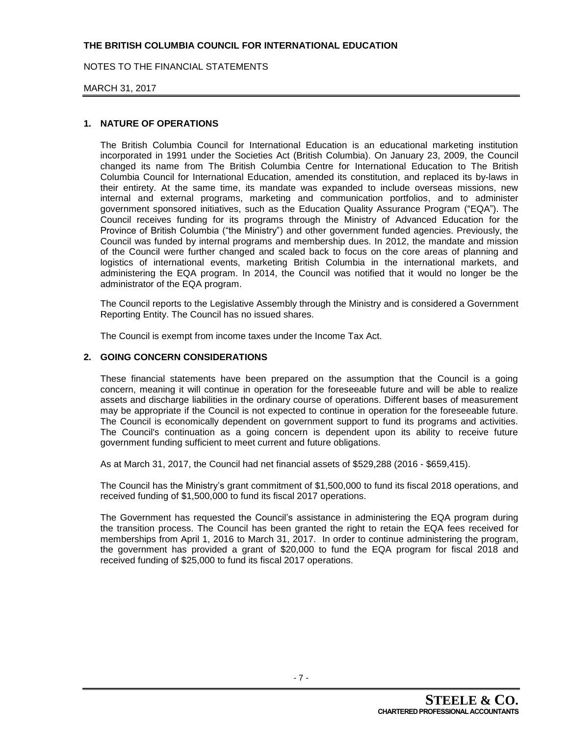NOTES TO THE FINANCIAL STATEMENTS

#### MARCH 31, 2017

### **1. NATURE OF OPERATIONS**

The British Columbia Council for International Education is an educational marketing institution incorporated in 1991 under the Societies Act (British Columbia). On January 23, 2009, the Council changed its name from The British Columbia Centre for International Education to The British Columbia Council for International Education, amended its constitution, and replaced its by-laws in their entirety. At the same time, its mandate was expanded to include overseas missions, new internal and external programs, marketing and communication portfolios, and to administer government sponsored initiatives, such as the Education Quality Assurance Program ("EQA"). The Council receives funding for its programs through the Ministry of Advanced Education for the Province of British Columbia ("the Ministry") and other government funded agencies. Previously, the Council was funded by internal programs and membership dues. In 2012, the mandate and mission of the Council were further changed and scaled back to focus on the core areas of planning and logistics of international events, marketing British Columbia in the international markets, and administering the EQA program. In 2014, the Council was notified that it would no longer be the administrator of the EQA program.

The Council reports to the Legislative Assembly through the Ministry and is considered a Government Reporting Entity. The Council has no issued shares.

The Council is exempt from income taxes under the Income Tax Act.

### **2. GOING CONCERN CONSIDERATIONS**

These financial statements have been prepared on the assumption that the Council is a going concern, meaning it will continue in operation for the foreseeable future and will be able to realize assets and discharge liabilities in the ordinary course of operations. Different bases of measurement may be appropriate if the Council is not expected to continue in operation for the foreseeable future. The Council is economically dependent on government support to fund its programs and activities. The Council's continuation as a going concern is dependent upon its ability to receive future government funding sufficient to meet current and future obligations.

As at March 31, 2017, the Council had net financial assets of \$529,288 (2016 - \$659,415).

The Council has the Ministry's grant commitment of \$1,500,000 to fund its fiscal 2018 operations, and received funding of \$1,500,000 to fund its fiscal 2017 operations.

The Government has requested the Council's assistance in administering the EQA program during the transition process. The Council has been granted the right to retain the EQA fees received for memberships from April 1, 2016 to March 31, 2017. In order to continue administering the program, the government has provided a grant of \$20,000 to fund the EQA program for fiscal 2018 and received funding of \$25,000 to fund its fiscal 2017 operations.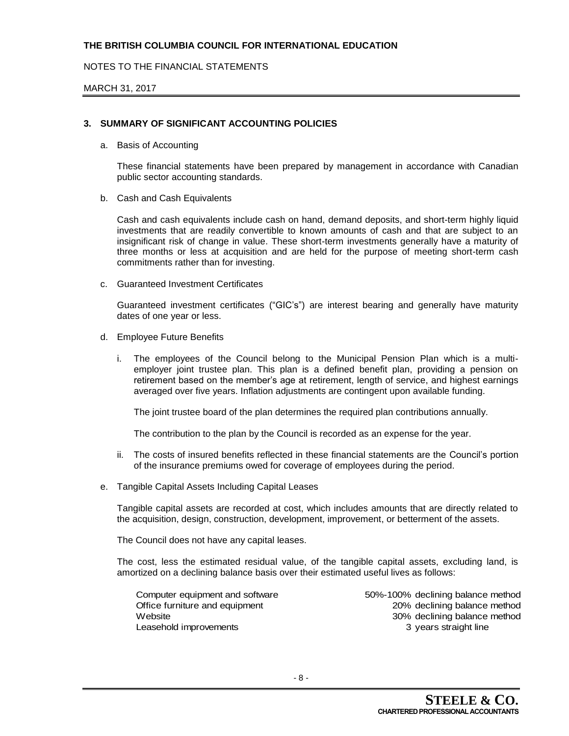## NOTES TO THE FINANCIAL STATEMENTS

#### MARCH 31, 2017

## **3. SUMMARY OF SIGNIFICANT ACCOUNTING POLICIES**

a. Basis of Accounting

These financial statements have been prepared by management in accordance with Canadian public sector accounting standards.

b. Cash and Cash Equivalents

Cash and cash equivalents include cash on hand, demand deposits, and short-term highly liquid investments that are readily convertible to known amounts of cash and that are subject to an insignificant risk of change in value. These short-term investments generally have a maturity of three months or less at acquisition and are held for the purpose of meeting short-term cash commitments rather than for investing.

c. Guaranteed Investment Certificates

Guaranteed investment certificates ("GIC's") are interest bearing and generally have maturity dates of one year or less.

- d. Employee Future Benefits
	- i. The employees of the Council belong to the Municipal Pension Plan which is a multiemployer joint trustee plan. This plan is a defined benefit plan, providing a pension on retirement based on the member's age at retirement, length of service, and highest earnings averaged over five years. Inflation adjustments are contingent upon available funding.

The joint trustee board of the plan determines the required plan contributions annually.

The contribution to the plan by the Council is recorded as an expense for the year.

- ii. The costs of insured benefits reflected in these financial statements are the Council's portion of the insurance premiums owed for coverage of employees during the period.
- e. Tangible Capital Assets Including Capital Leases

Tangible capital assets are recorded at cost, which includes amounts that are directly related to the acquisition, design, construction, development, improvement, or betterment of the assets.

The Council does not have any capital leases.

The cost, less the estimated residual value, of the tangible capital assets, excluding land, is amortized on a declining balance basis over their estimated useful lives as follows:

Computer equipment and software 50%-100% declining balance method Leasehold improvements and the straight line of the straight line

Office furniture and equipment 20% declining balance method Website 30% declining balance method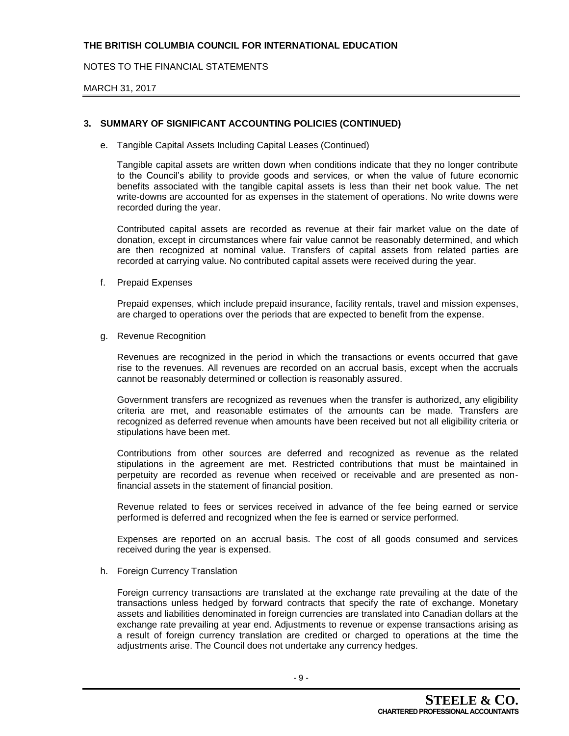NOTES TO THE FINANCIAL STATEMENTS

#### MARCH 31, 2017

## **3. SUMMARY OF SIGNIFICANT ACCOUNTING POLICIES (CONTINUED)**

e. Tangible Capital Assets Including Capital Leases (Continued)

Tangible capital assets are written down when conditions indicate that they no longer contribute to the Council's ability to provide goods and services, or when the value of future economic benefits associated with the tangible capital assets is less than their net book value. The net write-downs are accounted for as expenses in the statement of operations. No write downs were recorded during the year.

Contributed capital assets are recorded as revenue at their fair market value on the date of donation, except in circumstances where fair value cannot be reasonably determined, and which are then recognized at nominal value. Transfers of capital assets from related parties are recorded at carrying value. No contributed capital assets were received during the year.

f. Prepaid Expenses

Prepaid expenses, which include prepaid insurance, facility rentals, travel and mission expenses, are charged to operations over the periods that are expected to benefit from the expense.

g. Revenue Recognition

Revenues are recognized in the period in which the transactions or events occurred that gave rise to the revenues. All revenues are recorded on an accrual basis, except when the accruals cannot be reasonably determined or collection is reasonably assured.

Government transfers are recognized as revenues when the transfer is authorized, any eligibility criteria are met, and reasonable estimates of the amounts can be made. Transfers are recognized as deferred revenue when amounts have been received but not all eligibility criteria or stipulations have been met.

Contributions from other sources are deferred and recognized as revenue as the related stipulations in the agreement are met. Restricted contributions that must be maintained in perpetuity are recorded as revenue when received or receivable and are presented as nonfinancial assets in the statement of financial position.

Revenue related to fees or services received in advance of the fee being earned or service performed is deferred and recognized when the fee is earned or service performed.

Expenses are reported on an accrual basis. The cost of all goods consumed and services received during the year is expensed.

h. Foreign Currency Translation

Foreign currency transactions are translated at the exchange rate prevailing at the date of the transactions unless hedged by forward contracts that specify the rate of exchange. Monetary assets and liabilities denominated in foreign currencies are translated into Canadian dollars at the exchange rate prevailing at year end. Adjustments to revenue or expense transactions arising as a result of foreign currency translation are credited or charged to operations at the time the adjustments arise. The Council does not undertake any currency hedges.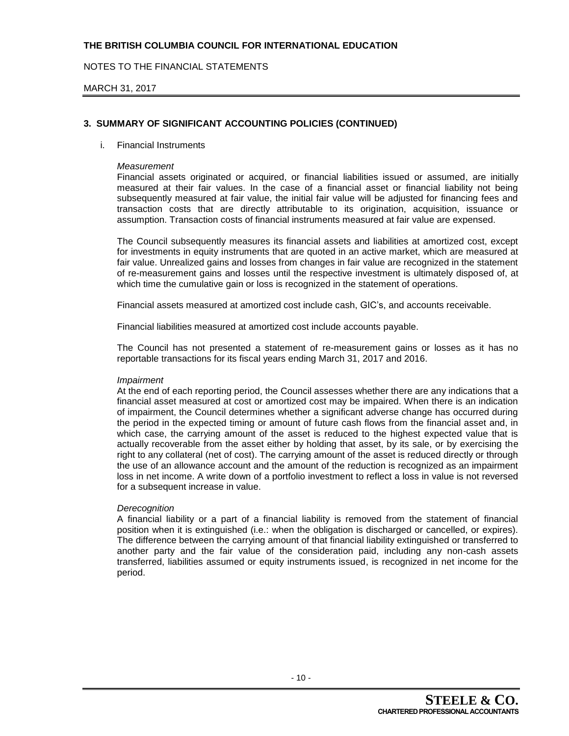NOTES TO THE FINANCIAL STATEMENTS

#### MARCH 31, 2017

## **3. SUMMARY OF SIGNIFICANT ACCOUNTING POLICIES (CONTINUED)**

#### i. Financial Instruments

#### *Measurement*

Financial assets originated or acquired, or financial liabilities issued or assumed, are initially measured at their fair values. In the case of a financial asset or financial liability not being subsequently measured at fair value, the initial fair value will be adjusted for financing fees and transaction costs that are directly attributable to its origination, acquisition, issuance or assumption. Transaction costs of financial instruments measured at fair value are expensed.

The Council subsequently measures its financial assets and liabilities at amortized cost, except for investments in equity instruments that are quoted in an active market, which are measured at fair value. Unrealized gains and losses from changes in fair value are recognized in the statement of re-measurement gains and losses until the respective investment is ultimately disposed of, at which time the cumulative gain or loss is recognized in the statement of operations.

Financial assets measured at amortized cost include cash, GIC's, and accounts receivable.

Financial liabilities measured at amortized cost include accounts payable.

The Council has not presented a statement of re-measurement gains or losses as it has no reportable transactions for its fiscal years ending March 31, 2017 and 2016.

#### *Impairment*

At the end of each reporting period, the Council assesses whether there are any indications that a financial asset measured at cost or amortized cost may be impaired. When there is an indication of impairment, the Council determines whether a significant adverse change has occurred during the period in the expected timing or amount of future cash flows from the financial asset and, in which case, the carrying amount of the asset is reduced to the highest expected value that is actually recoverable from the asset either by holding that asset, by its sale, or by exercising the right to any collateral (net of cost). The carrying amount of the asset is reduced directly or through the use of an allowance account and the amount of the reduction is recognized as an impairment loss in net income. A write down of a portfolio investment to reflect a loss in value is not reversed for a subsequent increase in value.

#### *Derecognition*

A financial liability or a part of a financial liability is removed from the statement of financial position when it is extinguished (i.e.: when the obligation is discharged or cancelled, or expires). The difference between the carrying amount of that financial liability extinguished or transferred to another party and the fair value of the consideration paid, including any non-cash assets transferred, liabilities assumed or equity instruments issued, is recognized in net income for the period.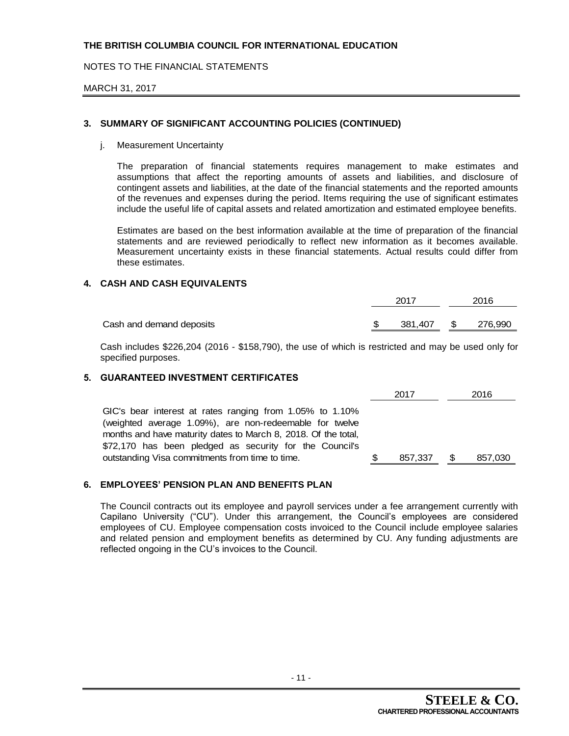NOTES TO THE FINANCIAL STATEMENTS

#### MARCH 31, 2017

## **3. SUMMARY OF SIGNIFICANT ACCOUNTING POLICIES (CONTINUED)**

j. Measurement Uncertainty

The preparation of financial statements requires management to make estimates and assumptions that affect the reporting amounts of assets and liabilities, and disclosure of contingent assets and liabilities, at the date of the financial statements and the reported amounts of the revenues and expenses during the period. Items requiring the use of significant estimates include the useful life of capital assets and related amortization and estimated employee benefits.

Estimates are based on the best information available at the time of preparation of the financial statements and are reviewed periodically to reflect new information as it becomes available. Measurement uncertainty exists in these financial statements. Actual results could differ from these estimates.

### **4. CASH AND CASH EQUIVALENTS**

|                          | 2017               | 2016 |  |  |
|--------------------------|--------------------|------|--|--|
| Cash and demand deposits | 381,407 \$ 276,990 |      |  |  |
|                          |                    |      |  |  |

Cash includes \$226,204 (2016 - \$158,790), the use of which is restricted and may be used only for specified purposes.

### **5. GUARANTEED INVESTMENT CERTIFICATES**

|                                                                                                                                                                                                                                                                                                     | 2017    |   | 2016    |
|-----------------------------------------------------------------------------------------------------------------------------------------------------------------------------------------------------------------------------------------------------------------------------------------------------|---------|---|---------|
| GIC's bear interest at rates ranging from 1.05% to 1.10%<br>(weighted average 1.09%), are non-redeemable for twelve<br>months and have maturity dates to March 8, 2018. Of the total,<br>\$72,170 has been pledged as security for the Council's<br>outstanding Visa commitments from time to time. | 857,337 | S | 857,030 |

## **6. EMPLOYEES' PENSION PLAN AND BENEFITS PLAN**

The Council contracts out its employee and payroll services under a fee arrangement currently with Capilano University ("CU"). Under this arrangement, the Council's employees are considered employees of CU. Employee compensation costs invoiced to the Council include employee salaries and related pension and employment benefits as determined by CU. Any funding adjustments are reflected ongoing in the CU's invoices to the Council.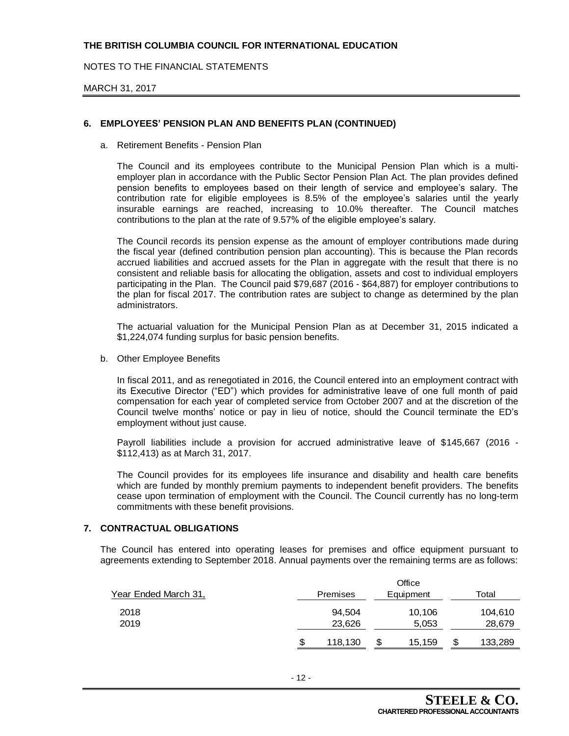NOTES TO THE FINANCIAL STATEMENTS

#### MARCH 31, 2017

### **6. EMPLOYEES' PENSION PLAN AND BENEFITS PLAN (CONTINUED)**

a. Retirement Benefits - Pension Plan

The Council and its employees contribute to the Municipal Pension Plan which is a multiemployer plan in accordance with the Public Sector Pension Plan Act. The plan provides defined pension benefits to employees based on their length of service and employee's salary. The contribution rate for eligible employees is 8.5% of the employee's salaries until the yearly insurable earnings are reached, increasing to 10.0% thereafter. The Council matches contributions to the plan at the rate of 9.57% of the eligible employee's salary.

The Council records its pension expense as the amount of employer contributions made during the fiscal year (defined contribution pension plan accounting). This is because the Plan records accrued liabilities and accrued assets for the Plan in aggregate with the result that there is no consistent and reliable basis for allocating the obligation, assets and cost to individual employers participating in the Plan. The Council paid \$79,687 (2016 - \$64,887) for employer contributions to the plan for fiscal 2017. The contribution rates are subject to change as determined by the plan administrators.

The actuarial valuation for the Municipal Pension Plan as at December 31, 2015 indicated a \$1,224,074 funding surplus for basic pension benefits.

b. Other Employee Benefits

In fiscal 2011, and as renegotiated in 2016, the Council entered into an employment contract with its Executive Director ("ED") which provides for administrative leave of one full month of paid compensation for each year of completed service from October 2007 and at the discretion of the Council twelve months' notice or pay in lieu of notice, should the Council terminate the ED's employment without just cause.

Payroll liabilities include a provision for accrued administrative leave of \$145,667 (2016 - \$112,413) as at March 31, 2017.

The Council provides for its employees life insurance and disability and health care benefits which are funded by monthly premium payments to independent benefit providers. The benefits cease upon termination of employment with the Council. The Council currently has no long-term commitments with these benefit provisions.

#### **7. CONTRACTUAL OBLIGATIONS**

The Council has entered into operating leases for premises and office equipment pursuant to agreements extending to September 2018. Annual payments over the remaining terms are as follows:

|                      | Office |                 |   |           |   |         |  |  |  |
|----------------------|--------|-----------------|---|-----------|---|---------|--|--|--|
| Year Ended March 31, |        | <b>Premises</b> |   | Equipment |   | Total   |  |  |  |
| 2018                 |        | 94.504          |   | 10,106    |   | 104,610 |  |  |  |
| 2019                 |        | 23,626          |   | 5,053     |   | 28,679  |  |  |  |
|                      | \$     | 118,130         | S | 15,159    | S | 133,289 |  |  |  |
|                      |        |                 |   |           |   |         |  |  |  |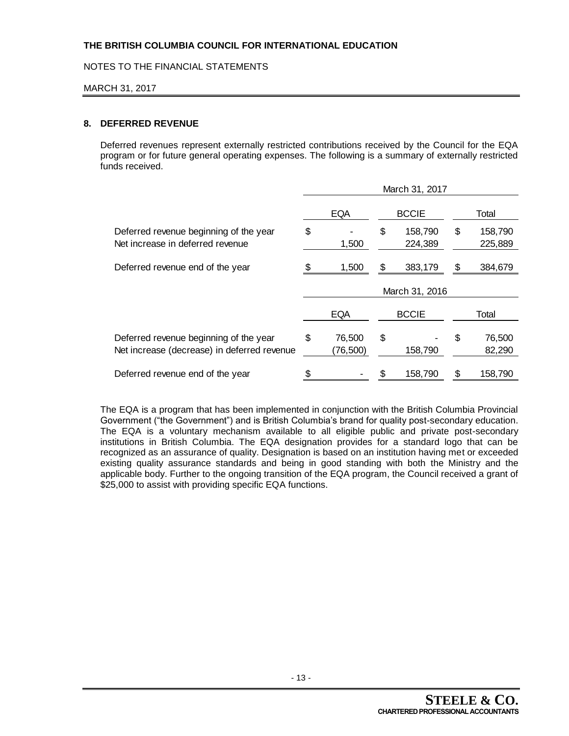NOTES TO THE FINANCIAL STATEMENTS

#### MARCH 31, 2017

### **8. DEFERRED REVENUE**

Deferred revenues represent externally restricted contributions received by the Council for the EQA program or for future general operating expenses. The following is a summary of externally restricted funds received.

|                                                                                       | March 31, 2017 |                    |                |                    |       |                    |  |  |  |  |
|---------------------------------------------------------------------------------------|----------------|--------------------|----------------|--------------------|-------|--------------------|--|--|--|--|
|                                                                                       | <b>EQA</b>     |                    |                | <b>BCCIE</b>       |       | Total              |  |  |  |  |
| Deferred revenue beginning of the year<br>Net increase in deferred revenue            | \$             | 1,500              | \$             | 158,790<br>224,389 | \$    | 158,790<br>225,889 |  |  |  |  |
| Deferred revenue end of the year                                                      |                | 1,500              | \$             | 383,179            | S     | 384,679            |  |  |  |  |
|                                                                                       |                |                    | March 31, 2016 |                    |       |                    |  |  |  |  |
|                                                                                       |                | <b>EQA</b>         |                | <b>BCCIE</b>       | Total |                    |  |  |  |  |
| Deferred revenue beginning of the year<br>Net increase (decrease) in deferred revenue | \$             | 76,500<br>(76,500) | \$             | 158,790            | \$    | 76,500<br>82,290   |  |  |  |  |
| Deferred revenue end of the year                                                      |                |                    |                | 158,790            |       | 158,790            |  |  |  |  |

The EQA is a program that has been implemented in conjunction with the British Columbia Provincial Government ("the Government") and is British Columbia's brand for quality post-secondary education. The EQA is a voluntary mechanism available to all eligible public and private post-secondary institutions in British Columbia. The EQA designation provides for a standard logo that can be recognized as an assurance of quality. Designation is based on an institution having met or exceeded existing quality assurance standards and being in good standing with both the Ministry and the applicable body. Further to the ongoing transition of the EQA program, the Council received a grant of \$25,000 to assist with providing specific EQA functions.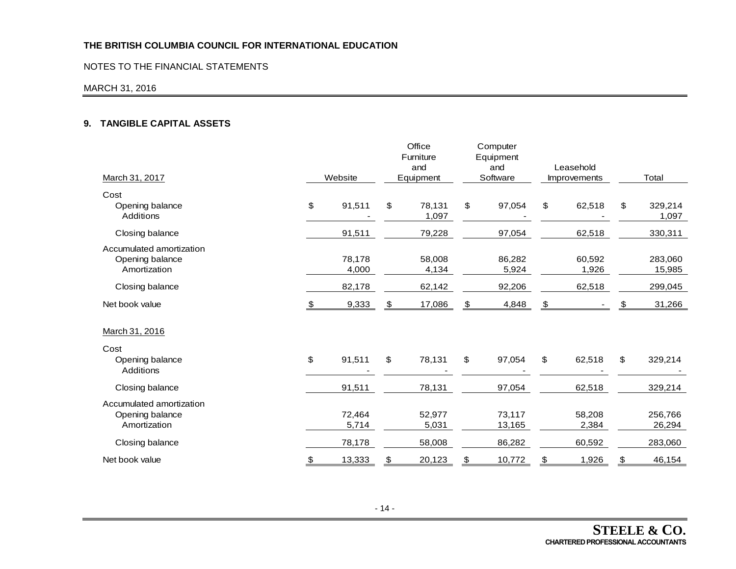### NOTES TO THE FINANCIAL STATEMENTS

#### MARCH 31, 2016

## **9. TANGIBLE CAPITAL ASSETS**

| March 31, 2017                                              |               | Website         | Office<br>Furniture<br>and<br>Equipment | Computer<br>Equipment<br>and<br>Software | Leasehold<br><b>Improvements</b> |                 | Total |                   |
|-------------------------------------------------------------|---------------|-----------------|-----------------------------------------|------------------------------------------|----------------------------------|-----------------|-------|-------------------|
| Cost                                                        |               |                 |                                         |                                          |                                  |                 |       |                   |
| Opening balance<br>Additions                                | \$            | 91,511          | \$<br>78,131<br>1,097                   | \$<br>97,054                             | \$                               | 62,518          | \$    | 329,214<br>1,097  |
| Closing balance                                             |               | 91,511          | 79,228                                  | 97,054                                   |                                  | 62,518          |       | 330,311           |
| Accumulated amortization<br>Opening balance<br>Amortization |               | 78,178<br>4,000 | 58,008<br>4,134                         | 86,282<br>5,924                          |                                  | 60,592<br>1,926 |       | 283,060<br>15,985 |
| Closing balance                                             |               | 82,178          | 62,142                                  | 92,206                                   |                                  | 62,518          |       | 299,045           |
| Net book value                                              | \$            | 9,333           | \$<br>17,086                            | \$<br>4,848                              | \$                               |                 | \$    | 31,266            |
| March 31, 2016                                              |               |                 |                                         |                                          |                                  |                 |       |                   |
| Cost                                                        |               |                 |                                         |                                          |                                  |                 |       |                   |
| Opening balance<br>Additions                                | \$            | 91,511          | \$<br>78,131                            | \$<br>97,054                             | \$                               | 62,518          | \$    | 329,214           |
| Closing balance                                             |               | 91,511          | 78,131                                  | 97,054                                   |                                  | 62,518          |       | 329,214           |
| Accumulated amortization<br>Opening balance<br>Amortization |               | 72,464<br>5,714 | 52,977<br>5,031                         | 73,117<br>13,165                         |                                  | 58,208<br>2,384 |       | 256,766<br>26,294 |
| Closing balance                                             |               | 78,178          | 58,008                                  | 86,282                                   |                                  | 60,592          |       | 283,060           |
| Net book value                                              | $\frac{1}{2}$ | 13,333          | \$<br>20,123                            | \$<br>10,772                             | \$                               | 1,926           | \$    | 46,154            |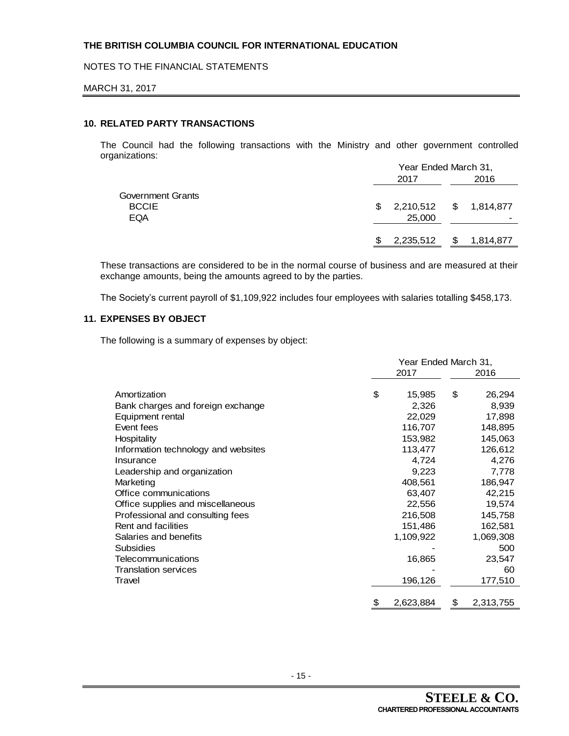NOTES TO THE FINANCIAL STATEMENTS

#### MARCH 31, 2017

### **10. RELATED PARTY TRANSACTIONS**

The Council had the following transactions with the Ministry and other government controlled organizations:

|                   |     | Year Ended March 31,   |      |           |  |  |
|-------------------|-----|------------------------|------|-----------|--|--|
|                   |     | 2017                   | 2016 |           |  |  |
| Government Grants |     |                        |      |           |  |  |
| <b>BCCIE</b>      | \$. | 2,210,512 \$ 1,814,877 |      |           |  |  |
| <b>EQA</b>        |     | 25,000                 |      |           |  |  |
|                   |     | 2,235,512              | S.   | 1,814,877 |  |  |
|                   |     |                        |      |           |  |  |

These transactions are considered to be in the normal course of business and are measured at their exchange amounts, being the amounts agreed to by the parties.

The Society's current payroll of \$1,109,922 includes four employees with salaries totalling \$458,173.

## **11. EXPENSES BY OBJECT**

The following is a summary of expenses by object:

|                                     | Year Ended March 31, |           |    |           |  |  |
|-------------------------------------|----------------------|-----------|----|-----------|--|--|
|                                     |                      | 2017      |    | 2016      |  |  |
| Amortization                        | \$                   | 15,985    | \$ | 26,294    |  |  |
| Bank charges and foreign exchange   |                      | 2,326     |    | 8,939     |  |  |
| Equipment rental                    |                      | 22,029    |    | 17,898    |  |  |
| Event fees                          |                      | 116,707   |    | 148,895   |  |  |
| Hospitality                         |                      | 153,982   |    | 145,063   |  |  |
| Information technology and websites |                      | 113,477   |    | 126,612   |  |  |
| Insurance                           |                      | 4,724     |    | 4,276     |  |  |
| Leadership and organization         |                      | 9,223     |    | 7,778     |  |  |
| Marketing                           |                      | 408,561   |    | 186,947   |  |  |
| Office communications               |                      | 63,407    |    | 42,215    |  |  |
| Office supplies and miscellaneous   |                      | 22,556    |    | 19,574    |  |  |
| Professional and consulting fees    |                      | 216,508   |    | 145,758   |  |  |
| Rent and facilities                 |                      | 151,486   |    | 162,581   |  |  |
| Salaries and benefits               |                      | 1,109,922 |    | 1,069,308 |  |  |
| <b>Subsidies</b>                    |                      |           |    | 500       |  |  |
| Telecommunications                  |                      | 16,865    |    | 23,547    |  |  |
| <b>Translation services</b>         |                      |           |    | 60        |  |  |
| Travel                              |                      | 196,126   |    | 177,510   |  |  |
|                                     | \$                   | 2,623,884 | \$ | 2,313,755 |  |  |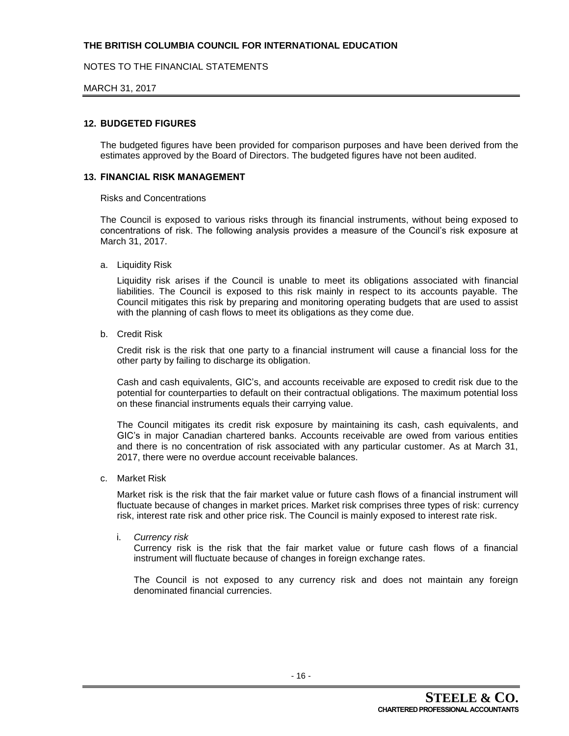## NOTES TO THE FINANCIAL STATEMENTS

#### MARCH 31, 2017

#### **12. BUDGETED FIGURES**

The budgeted figures have been provided for comparison purposes and have been derived from the estimates approved by the Board of Directors. The budgeted figures have not been audited.

#### **13. FINANCIAL RISK MANAGEMENT**

#### Risks and Concentrations

The Council is exposed to various risks through its financial instruments, without being exposed to concentrations of risk. The following analysis provides a measure of the Council's risk exposure at March 31, 2017.

a. Liquidity Risk

Liquidity risk arises if the Council is unable to meet its obligations associated with financial liabilities. The Council is exposed to this risk mainly in respect to its accounts payable. The Council mitigates this risk by preparing and monitoring operating budgets that are used to assist with the planning of cash flows to meet its obligations as they come due.

b. Credit Risk

Credit risk is the risk that one party to a financial instrument will cause a financial loss for the other party by failing to discharge its obligation.

Cash and cash equivalents, GIC's, and accounts receivable are exposed to credit risk due to the potential for counterparties to default on their contractual obligations. The maximum potential loss on these financial instruments equals their carrying value.

The Council mitigates its credit risk exposure by maintaining its cash, cash equivalents, and GIC's in major Canadian chartered banks. Accounts receivable are owed from various entities and there is no concentration of risk associated with any particular customer. As at March 31, 2017, there were no overdue account receivable balances.

c. Market Risk

Market risk is the risk that the fair market value or future cash flows of a financial instrument will fluctuate because of changes in market prices. Market risk comprises three types of risk: currency risk, interest rate risk and other price risk. The Council is mainly exposed to interest rate risk.

i. *Currency risk*

Currency risk is the risk that the fair market value or future cash flows of a financial instrument will fluctuate because of changes in foreign exchange rates.

The Council is not exposed to any currency risk and does not maintain any foreign denominated financial currencies.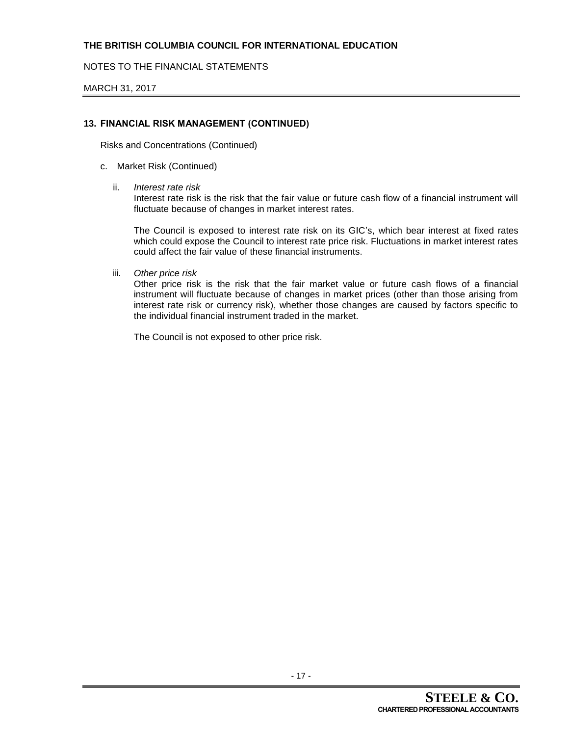NOTES TO THE FINANCIAL STATEMENTS

MARCH 31, 2017

## **13. FINANCIAL RISK MANAGEMENT (CONTINUED)**

Risks and Concentrations (Continued)

### c. Market Risk (Continued)

ii. *Interest rate risk*

Interest rate risk is the risk that the fair value or future cash flow of a financial instrument will fluctuate because of changes in market interest rates.

The Council is exposed to interest rate risk on its GIC's, which bear interest at fixed rates which could expose the Council to interest rate price risk. Fluctuations in market interest rates could affect the fair value of these financial instruments.

iii. *Other price risk*

Other price risk is the risk that the fair market value or future cash flows of a financial instrument will fluctuate because of changes in market prices (other than those arising from interest rate risk or currency risk), whether those changes are caused by factors specific to the individual financial instrument traded in the market.

The Council is not exposed to other price risk.